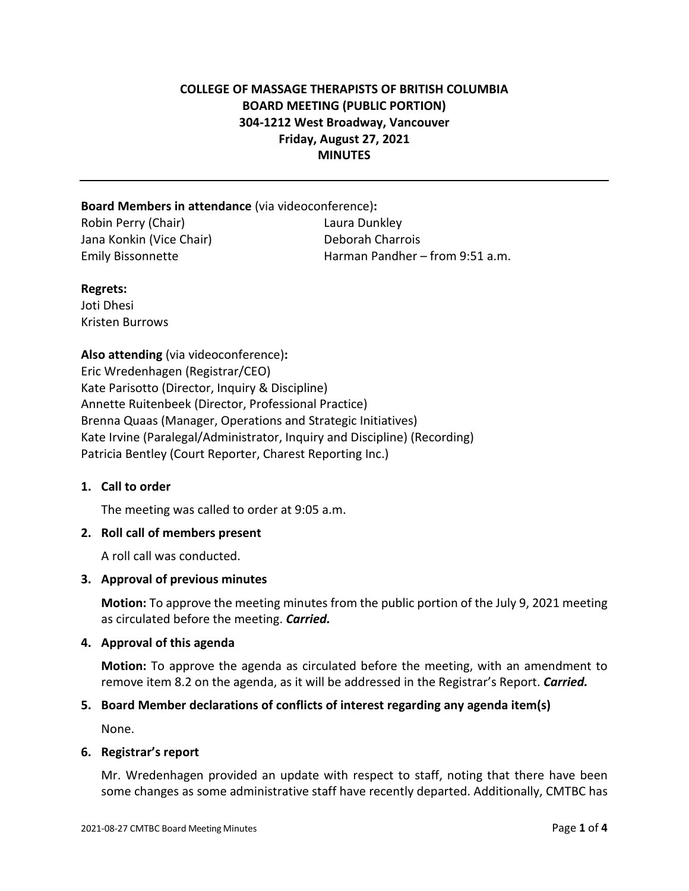## **COLLEGE OF MASSAGE THERAPISTS OF BRITISH COLUMBIA BOARD MEETING (PUBLIC PORTION) 304-1212 West Broadway, Vancouver Friday, August 27, 2021 MINUTES**

#### **Board Members in attendance** (via videoconference)**:**

Robin Perry (Chair) Laura Dunkley Jana Konkin (Vice Chair) Deborah Charrois

Emily Bissonnette Harman Pandher – from 9:51 a.m.

#### **Regrets:**

Joti Dhesi Kristen Burrows

**Also attending** (via videoconference)**:** Eric Wredenhagen (Registrar/CEO) Kate Parisotto (Director, Inquiry & Discipline) Annette Ruitenbeek (Director, Professional Practice) Brenna Quaas (Manager, Operations and Strategic Initiatives) Kate Irvine (Paralegal/Administrator, Inquiry and Discipline) (Recording) Patricia Bentley (Court Reporter, Charest Reporting Inc.)

## **1. Call to order**

The meeting was called to order at 9:05 a.m.

## **2. Roll call of members present**

A roll call was conducted.

## **3. Approval of previous minutes**

**Motion:** To approve the meeting minutes from the public portion of the July 9, 2021 meeting as circulated before the meeting. *Carried.*

## **4. Approval of this agenda**

**Motion:** To approve the agenda as circulated before the meeting, with an amendment to remove item 8.2 on the agenda, as it will be addressed in the Registrar's Report. *Carried.*

## **5. Board Member declarations of conflicts of interest regarding any agenda item(s)**

None.

## **6. Registrar's report**

Mr. Wredenhagen provided an update with respect to staff, noting that there have been some changes as some administrative staff have recently departed. Additionally, CMTBC has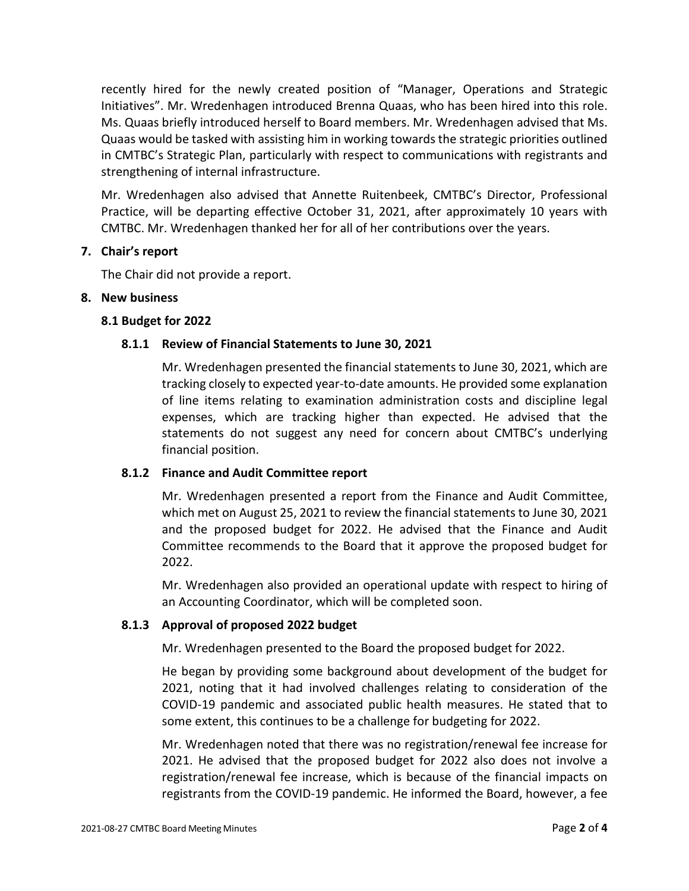recently hired for the newly created position of "Manager, Operations and Strategic Initiatives". Mr. Wredenhagen introduced Brenna Quaas, who has been hired into this role. Ms. Quaas briefly introduced herself to Board members. Mr. Wredenhagen advised that Ms. Quaas would be tasked with assisting him in working towards the strategic priorities outlined in CMTBC's Strategic Plan, particularly with respect to communications with registrants and strengthening of internal infrastructure.

Mr. Wredenhagen also advised that Annette Ruitenbeek, CMTBC's Director, Professional Practice, will be departing effective October 31, 2021, after approximately 10 years with CMTBC. Mr. Wredenhagen thanked her for all of her contributions over the years.

#### **7. Chair's report**

The Chair did not provide a report.

#### **8. New business**

#### **8.1 Budget for 2022**

#### **8.1.1 Review of Financial Statements to June 30, 2021**

Mr. Wredenhagen presented the financial statements to June 30, 2021, which are tracking closely to expected year-to-date amounts. He provided some explanation of line items relating to examination administration costs and discipline legal expenses, which are tracking higher than expected. He advised that the statements do not suggest any need for concern about CMTBC's underlying financial position.

## **8.1.2 Finance and Audit Committee report**

Mr. Wredenhagen presented a report from the Finance and Audit Committee, which met on August 25, 2021 to review the financial statements to June 30, 2021 and the proposed budget for 2022. He advised that the Finance and Audit Committee recommends to the Board that it approve the proposed budget for 2022.

Mr. Wredenhagen also provided an operational update with respect to hiring of an Accounting Coordinator, which will be completed soon.

## **8.1.3 Approval of proposed 2022 budget**

Mr. Wredenhagen presented to the Board the proposed budget for 2022.

He began by providing some background about development of the budget for 2021, noting that it had involved challenges relating to consideration of the COVID-19 pandemic and associated public health measures. He stated that to some extent, this continues to be a challenge for budgeting for 2022.

Mr. Wredenhagen noted that there was no registration/renewal fee increase for 2021. He advised that the proposed budget for 2022 also does not involve a registration/renewal fee increase, which is because of the financial impacts on registrants from the COVID-19 pandemic. He informed the Board, however, a fee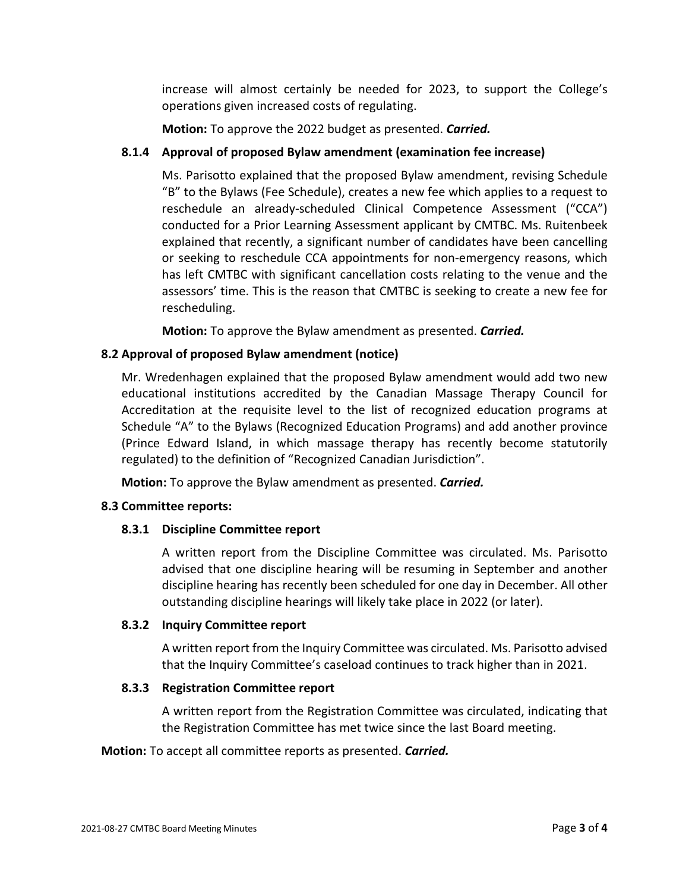increase will almost certainly be needed for 2023, to support the College's operations given increased costs of regulating.

**Motion:** To approve the 2022 budget as presented. *Carried.*

## **8.1.4 Approval of proposed Bylaw amendment (examination fee increase)**

Ms. Parisotto explained that the proposed Bylaw amendment, revising Schedule "B" to the Bylaws (Fee Schedule), creates a new fee which applies to a request to reschedule an already-scheduled Clinical Competence Assessment ("CCA") conducted for a Prior Learning Assessment applicant by CMTBC. Ms. Ruitenbeek explained that recently, a significant number of candidates have been cancelling or seeking to reschedule CCA appointments for non-emergency reasons, which has left CMTBC with significant cancellation costs relating to the venue and the assessors' time. This is the reason that CMTBC is seeking to create a new fee for rescheduling.

**Motion:** To approve the Bylaw amendment as presented. *Carried.*

## **8.2 Approval of proposed Bylaw amendment (notice)**

Mr. Wredenhagen explained that the proposed Bylaw amendment would add two new educational institutions accredited by the Canadian Massage Therapy Council for Accreditation at the requisite level to the list of recognized education programs at Schedule "A" to the Bylaws (Recognized Education Programs) and add another province (Prince Edward Island, in which massage therapy has recently become statutorily regulated) to the definition of "Recognized Canadian Jurisdiction".

**Motion:** To approve the Bylaw amendment as presented. *Carried.*

## **8.3 Committee reports:**

## **8.3.1 Discipline Committee report**

A written report from the Discipline Committee was circulated. Ms. Parisotto advised that one discipline hearing will be resuming in September and another discipline hearing has recently been scheduled for one day in December. All other outstanding discipline hearings will likely take place in 2022 (or later).

## **8.3.2 Inquiry Committee report**

A written report from the Inquiry Committee was circulated. Ms. Parisotto advised that the Inquiry Committee's caseload continues to track higher than in 2021.

## **8.3.3 Registration Committee report**

A written report from the Registration Committee was circulated, indicating that the Registration Committee has met twice since the last Board meeting.

**Motion:** To accept all committee reports as presented. *Carried.*